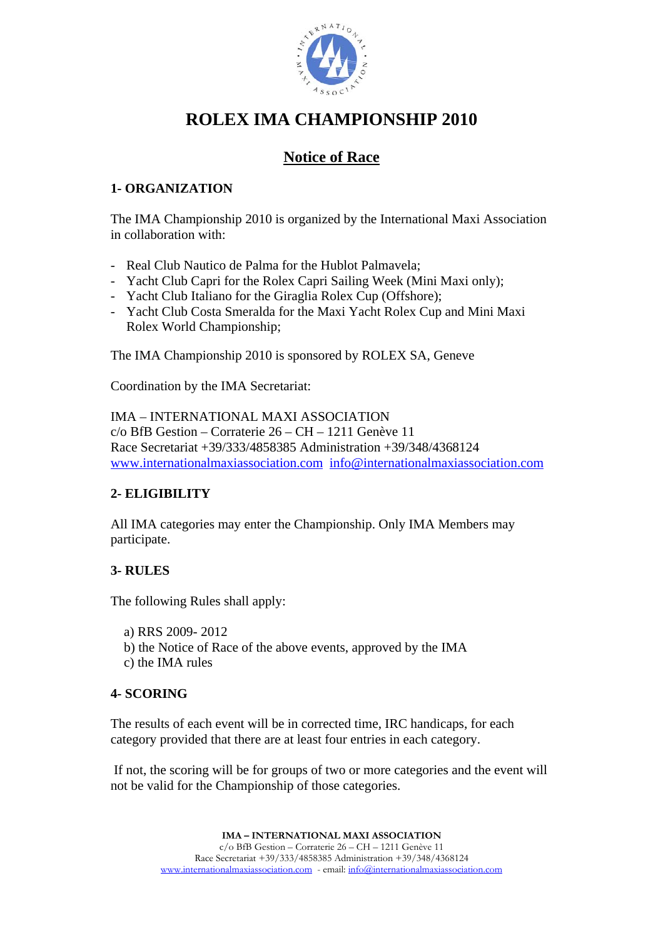

# **ROLEX IMA CHAMPIONSHIP 2010**

# **Notice of Race**

# **1- ORGANIZATION**

The IMA Championship 2010 is organized by the International Maxi Association in collaboration with:

- Real Club Nautico de Palma for the Hublot Palmavela;
- Yacht Club Capri for the Rolex Capri Sailing Week (Mini Maxi only);
- Yacht Club Italiano for the Giraglia Rolex Cup (Offshore);
- Yacht Club Costa Smeralda for the Maxi Yacht Rolex Cup and Mini Maxi Rolex World Championship;

The IMA Championship 2010 is sponsored by ROLEX SA, Geneve

Coordination by the IMA Secretariat:

IMA – INTERNATIONAL MAXI ASSOCIATION c/o BfB Gestion – Corraterie 26 – CH – 1211 Genève 11 Race Secretariat +39/333/4858385 Administration +39/348/4368124 www.internationalmaxiassociation.com info@internationalmaxiassociation.com

# **2- ELIGIBILITY**

All IMA categories may enter the Championship. Only IMA Members may participate.

#### **3- RULES**

The following Rules shall apply:

- a) RRS 2009- 2012
- b) the Notice of Race of the above events, approved by the IMA c) the IMA rules
- 

#### **4- SCORING**

The results of each event will be in corrected time, IRC handicaps, for each category provided that there are at least four entries in each category.

 If not, the scoring will be for groups of two or more categories and the event will not be valid for the Championship of those categories.

> **IMA – INTERNATIONAL MAXI ASSOCIATION**  c/o BfB Gestion – Corraterie 26 – CH – 1211 Genève 11 Race Secretariat +39/333/4858385 Administration +39/348/4368124 www.internationalmaxiassociation.com - email: info@internationalmaxiassociation.com